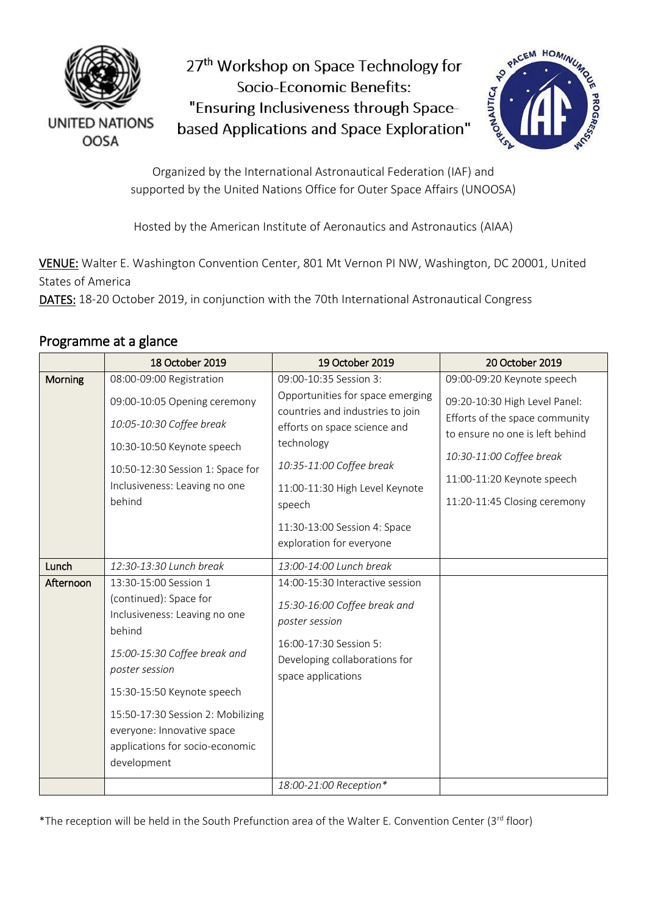

27<sup>th</sup> Workshop on Space Technology for Socio-Economic Benefits: "Ensuring Inclusiveness through Spacebased Applications and Space Exploration"



Organized by the International Astronautical Federation (IAF) and supported by the United Nations Office for Outer Space Affairs (UNOOSA)

Hosted by the American Institute of Aeronautics and Astronautics (AIAA)

VENUE: Walter E. Washington Convention Center, 801 Mt Vernon PI NW, Washington, DC 20001, United States of America

DATES: 18-20 October 2019, in conjunction with the 70th International Astronautical Congress

## Programme at a glance

|           | 18 October 2019                                                                                                                                                                                                                                                                                 | 19 October 2019                                                                                                                                                                                                                                                                  | 20 October 2019                                                                                                                                                                                                            |
|-----------|-------------------------------------------------------------------------------------------------------------------------------------------------------------------------------------------------------------------------------------------------------------------------------------------------|----------------------------------------------------------------------------------------------------------------------------------------------------------------------------------------------------------------------------------------------------------------------------------|----------------------------------------------------------------------------------------------------------------------------------------------------------------------------------------------------------------------------|
| Morning   | 08:00-09:00 Registration<br>09:00-10:05 Opening ceremony<br>10:05-10:30 Coffee break<br>10:30-10:50 Keynote speech<br>10:50-12:30 Session 1: Space for<br>Inclusiveness: Leaving no one<br>behind                                                                                               | 09:00-10:35 Session 3:<br>Opportunities for space emerging<br>countries and industries to join<br>efforts on space science and<br>technology<br>10:35-11:00 Coffee break<br>11:00-11:30 High Level Keynote<br>speech<br>11:30-13:00 Session 4: Space<br>exploration for everyone | 09:00-09:20 Keynote speech<br>09:20-10:30 High Level Panel:<br>Efforts of the space community<br>to ensure no one is left behind<br>10:30-11:00 Coffee break<br>11:00-11:20 Keynote speech<br>11:20-11:45 Closing ceremony |
| Lunch     | 12:30-13:30 Lunch break                                                                                                                                                                                                                                                                         | 13:00-14:00 Lunch break                                                                                                                                                                                                                                                          |                                                                                                                                                                                                                            |
| Afternoon | 13:30-15:00 Session 1<br>(continued): Space for<br>Inclusiveness: Leaving no one<br>behind<br>15:00-15:30 Coffee break and<br>poster session<br>15:30-15:50 Keynote speech<br>15:50-17:30 Session 2: Mobilizing<br>everyone: Innovative space<br>applications for socio-economic<br>development | 14:00-15:30 Interactive session<br>15:30-16:00 Coffee break and<br>poster session<br>16:00-17:30 Session 5:<br>Developing collaborations for<br>space applications<br>18:00-21:00 Reception*                                                                                     |                                                                                                                                                                                                                            |
|           |                                                                                                                                                                                                                                                                                                 |                                                                                                                                                                                                                                                                                  |                                                                                                                                                                                                                            |

\*The reception will be held in the South Prefunction area of the Walter E. Convention Center (3rd floor)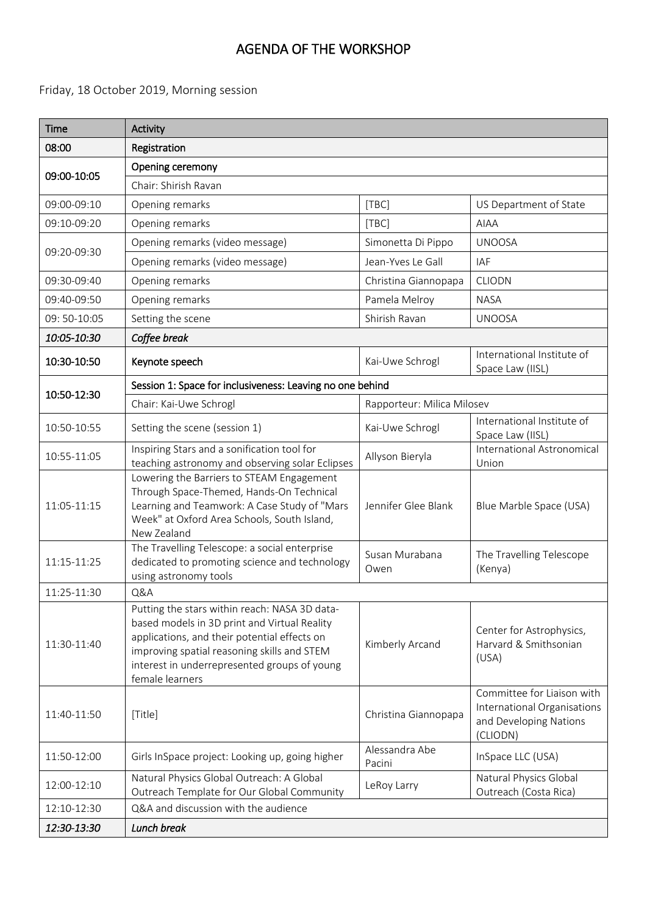# AGENDA OF THE WORKSHOP

### Friday, 18 October 2019, Morning session

| <b>Time</b>  | <b>Activity</b>                                                                                                                                                                                                                                                 |                            |                                                                                                 |
|--------------|-----------------------------------------------------------------------------------------------------------------------------------------------------------------------------------------------------------------------------------------------------------------|----------------------------|-------------------------------------------------------------------------------------------------|
| 08:00        | Registration                                                                                                                                                                                                                                                    |                            |                                                                                                 |
|              | Opening ceremony                                                                                                                                                                                                                                                |                            |                                                                                                 |
| 09:00-10:05  | Chair: Shirish Ravan                                                                                                                                                                                                                                            |                            |                                                                                                 |
| 09:00-09:10  | Opening remarks                                                                                                                                                                                                                                                 | [TBC]                      | US Department of State                                                                          |
| 09:10-09:20  | Opening remarks                                                                                                                                                                                                                                                 | [TBC]                      | <b>AIAA</b>                                                                                     |
|              | Opening remarks (video message)                                                                                                                                                                                                                                 | Simonetta Di Pippo         | <b>UNOOSA</b>                                                                                   |
| 09:20-09:30  | Opening remarks (video message)                                                                                                                                                                                                                                 | Jean-Yves Le Gall          | <b>IAF</b>                                                                                      |
| 09:30-09:40  | Opening remarks                                                                                                                                                                                                                                                 | Christina Giannopapa       | <b>CLIODN</b>                                                                                   |
| 09:40-09:50  | Opening remarks                                                                                                                                                                                                                                                 | Pamela Melroy              | <b>NASA</b>                                                                                     |
| 09: 50-10:05 | Setting the scene                                                                                                                                                                                                                                               | Shirish Ravan              | <b>UNOOSA</b>                                                                                   |
| 10:05-10:30  | Coffee break                                                                                                                                                                                                                                                    |                            |                                                                                                 |
| 10:30-10:50  | Keynote speech                                                                                                                                                                                                                                                  | Kai-Uwe Schrogl            | International Institute of<br>Space Law (IISL)                                                  |
| 10:50-12:30  | Session 1: Space for inclusiveness: Leaving no one behind                                                                                                                                                                                                       |                            |                                                                                                 |
|              | Chair: Kai-Uwe Schrogl                                                                                                                                                                                                                                          | Rapporteur: Milica Milosev |                                                                                                 |
| 10:50-10:55  | Setting the scene (session 1)                                                                                                                                                                                                                                   | Kai-Uwe Schrogl            | International Institute of<br>Space Law (IISL)                                                  |
| 10:55-11:05  | Inspiring Stars and a sonification tool for<br>teaching astronomy and observing solar Eclipses                                                                                                                                                                  | Allyson Bieryla            | International Astronomical<br>Union                                                             |
| 11:05-11:15  | Lowering the Barriers to STEAM Engagement<br>Through Space-Themed, Hands-On Technical<br>Learning and Teamwork: A Case Study of "Mars<br>Week" at Oxford Area Schools, South Island,<br>New Zealand                                                             | Jennifer Glee Blank        | Blue Marble Space (USA)                                                                         |
| 11:15-11:25  | The Travelling Telescope: a social enterprise<br>dedicated to promoting science and technology<br>using astronomy tools                                                                                                                                         | Susan Murabana<br>Owen     | The Travelling Telescope<br>(Kenya)                                                             |
| 11:25-11:30  | Q&A                                                                                                                                                                                                                                                             |                            |                                                                                                 |
| 11:30-11:40  | Putting the stars within reach: NASA 3D data-<br>based models in 3D print and Virtual Reality<br>applications, and their potential effects on<br>improving spatial reasoning skills and STEM<br>interest in underrepresented groups of young<br>female learners | Kimberly Arcand            | Center for Astrophysics,<br>Harvard & Smithsonian<br>(USA)                                      |
| 11:40-11:50  | [Title]                                                                                                                                                                                                                                                         | Christina Giannopapa       | Committee for Liaison with<br>International Organisations<br>and Developing Nations<br>(CLIODN) |
| 11:50-12:00  | Girls InSpace project: Looking up, going higher                                                                                                                                                                                                                 | Alessandra Abe<br>Pacini   | InSpace LLC (USA)                                                                               |
| 12:00-12:10  | Natural Physics Global Outreach: A Global<br>Outreach Template for Our Global Community                                                                                                                                                                         | LeRoy Larry                | Natural Physics Global<br>Outreach (Costa Rica)                                                 |
| 12:10-12:30  | Q&A and discussion with the audience                                                                                                                                                                                                                            |                            |                                                                                                 |
| 12:30-13:30  | Lunch break                                                                                                                                                                                                                                                     |                            |                                                                                                 |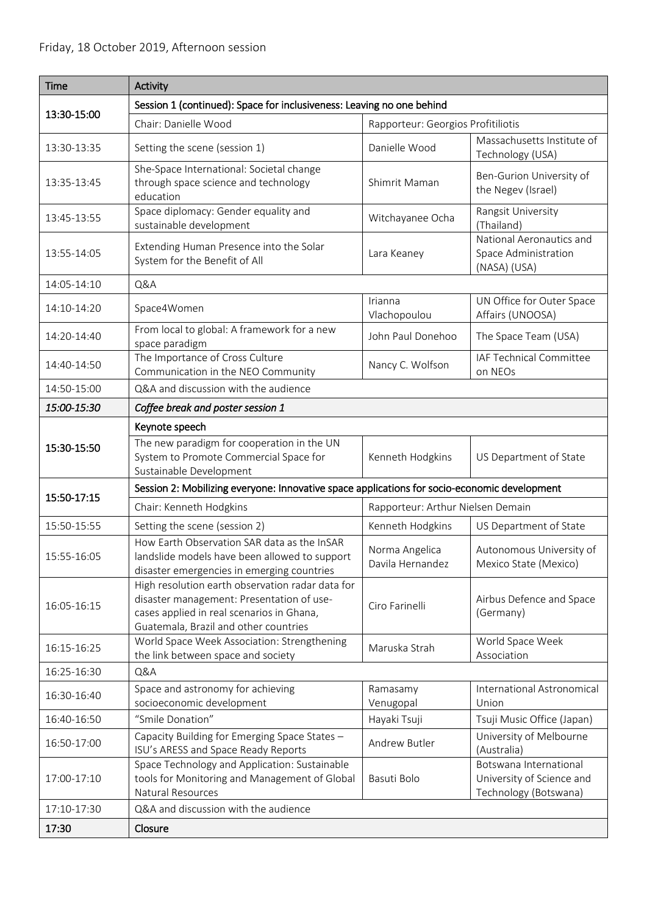| <b>Time</b>                                                                                  | Activity                                                                                                                                                                            |                                    |                                                                              |
|----------------------------------------------------------------------------------------------|-------------------------------------------------------------------------------------------------------------------------------------------------------------------------------------|------------------------------------|------------------------------------------------------------------------------|
| Session 1 (continued): Space for inclusiveness: Leaving no one behind                        |                                                                                                                                                                                     |                                    |                                                                              |
| 13:30-15:00                                                                                  | Chair: Danielle Wood                                                                                                                                                                | Rapporteur: Georgios Profitiliotis |                                                                              |
| 13:30-13:35                                                                                  | Setting the scene (session 1)                                                                                                                                                       | Danielle Wood                      | Massachusetts Institute of<br>Technology (USA)                               |
| 13:35-13:45                                                                                  | She-Space International: Societal change<br>through space science and technology<br>education                                                                                       | Shimrit Maman                      | Ben-Gurion University of<br>the Negev (Israel)                               |
| 13:45-13:55                                                                                  | Space diplomacy: Gender equality and<br>sustainable development                                                                                                                     | Witchayanee Ocha                   | Rangsit University<br>(Thailand)                                             |
| 13:55-14:05                                                                                  | Extending Human Presence into the Solar<br>System for the Benefit of All                                                                                                            | Lara Keaney                        | National Aeronautics and<br>Space Administration<br>(NASA) (USA)             |
| 14:05-14:10                                                                                  | Q&A                                                                                                                                                                                 |                                    |                                                                              |
| 14:10-14:20                                                                                  | Space4Women                                                                                                                                                                         | Irianna<br>Vlachopoulou            | UN Office for Outer Space<br>Affairs (UNOOSA)                                |
| 14:20-14:40                                                                                  | From local to global: A framework for a new<br>space paradigm                                                                                                                       | John Paul Donehoo                  | The Space Team (USA)                                                         |
| 14:40-14:50                                                                                  | The Importance of Cross Culture<br>Communication in the NEO Community                                                                                                               | Nancy C. Wolfson                   | IAF Technical Committee<br>on NEOs                                           |
| 14:50-15:00                                                                                  | Q&A and discussion with the audience                                                                                                                                                |                                    |                                                                              |
| 15:00-15:30                                                                                  | Coffee break and poster session 1                                                                                                                                                   |                                    |                                                                              |
|                                                                                              | Keynote speech                                                                                                                                                                      |                                    |                                                                              |
| 15:30-15:50                                                                                  | The new paradigm for cooperation in the UN<br>System to Promote Commercial Space for<br>Sustainable Development                                                                     | Kenneth Hodgkins                   | US Department of State                                                       |
| Session 2: Mobilizing everyone: Innovative space applications for socio-economic development |                                                                                                                                                                                     |                                    |                                                                              |
| 15:50-17:15                                                                                  | Chair: Kenneth Hodgkins                                                                                                                                                             | Rapporteur: Arthur Nielsen Demain  |                                                                              |
| 15:50-15:55                                                                                  | Setting the scene (session 2)                                                                                                                                                       | Kenneth Hodgkins                   | US Department of State                                                       |
| 15:55-16:05                                                                                  | How Earth Observation SAR data as the InSAR<br>landslide models have been allowed to support<br>disaster emergencies in emerging countries                                          | Norma Angelica<br>Davila Hernandez | Autonomous University of<br>Mexico State (Mexico)                            |
| 16:05-16:15                                                                                  | High resolution earth observation radar data for<br>disaster management: Presentation of use-<br>cases applied in real scenarios in Ghana,<br>Guatemala, Brazil and other countries | Ciro Farinelli                     | Airbus Defence and Space<br>(Germany)                                        |
| 16:15-16:25                                                                                  | World Space Week Association: Strengthening<br>the link between space and society                                                                                                   | Maruska Strah                      | World Space Week<br>Association                                              |
| 16:25-16:30                                                                                  | Q&A                                                                                                                                                                                 |                                    |                                                                              |
| 16:30-16:40                                                                                  | Space and astronomy for achieving<br>socioeconomic development                                                                                                                      | Ramasamy<br>Venugopal              | International Astronomical<br>Union                                          |
| 16:40-16:50                                                                                  | "Smile Donation"                                                                                                                                                                    | Hayaki Tsuji                       | Tsuji Music Office (Japan)                                                   |
| 16:50-17:00                                                                                  | Capacity Building for Emerging Space States -<br>ISU's ARESS and Space Ready Reports                                                                                                | Andrew Butler                      | University of Melbourne<br>(Australia)                                       |
| 17:00-17:10                                                                                  | Space Technology and Application: Sustainable<br>tools for Monitoring and Management of Global<br>Natural Resources                                                                 | Basuti Bolo                        | Botswana International<br>University of Science and<br>Technology (Botswana) |
| 17:10-17:30                                                                                  | Q&A and discussion with the audience                                                                                                                                                |                                    |                                                                              |
| 17:30                                                                                        | Closure                                                                                                                                                                             |                                    |                                                                              |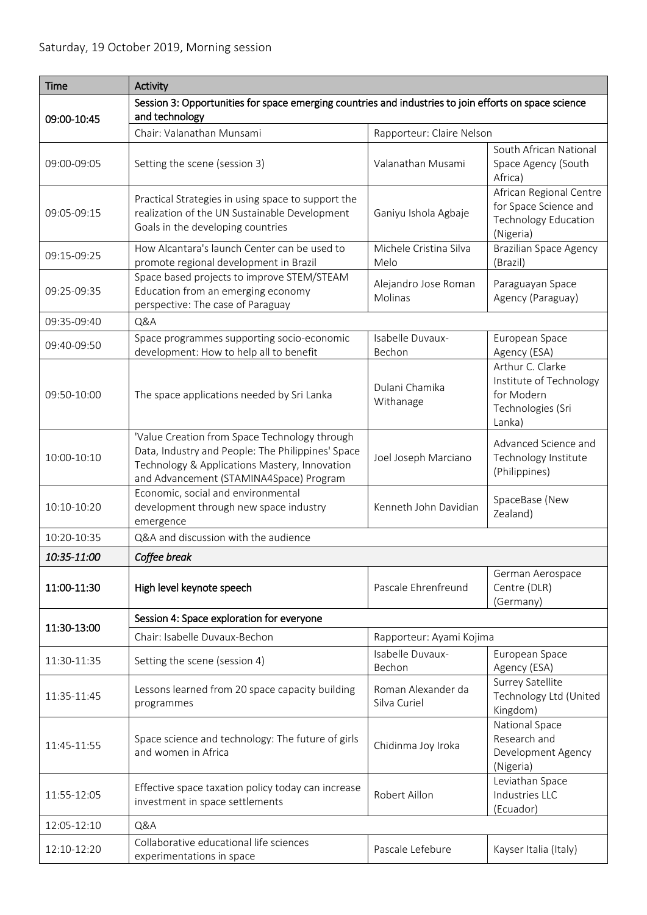| <b>Time</b> | Activity                                                                                                                                                                                       |                                    |                                                                                       |  |
|-------------|------------------------------------------------------------------------------------------------------------------------------------------------------------------------------------------------|------------------------------------|---------------------------------------------------------------------------------------|--|
| 09:00-10:45 | Session 3: Opportunities for space emerging countries and industries to join efforts on space science<br>and technology                                                                        |                                    |                                                                                       |  |
|             | Chair: Valanathan Munsami                                                                                                                                                                      | Rapporteur: Claire Nelson          |                                                                                       |  |
| 09:00-09:05 | Setting the scene (session 3)                                                                                                                                                                  | Valanathan Musami                  | South African National<br>Space Agency (South<br>Africa)                              |  |
| 09:05-09:15 | Practical Strategies in using space to support the<br>realization of the UN Sustainable Development<br>Goals in the developing countries                                                       | Ganiyu Ishola Agbaje               | African Regional Centre<br>for Space Science and<br>Technology Education<br>(Nigeria) |  |
| 09:15-09:25 | How Alcantara's launch Center can be used to<br>promote regional development in Brazil                                                                                                         | Michele Cristina Silva<br>Melo     | <b>Brazilian Space Agency</b><br>(Brazil)                                             |  |
| 09:25-09:35 | Space based projects to improve STEM/STEAM<br>Education from an emerging economy<br>perspective: The case of Paraguay                                                                          | Alejandro Jose Roman<br>Molinas    | Paraguayan Space<br>Agency (Paraguay)                                                 |  |
| 09:35-09:40 | Q&A                                                                                                                                                                                            |                                    |                                                                                       |  |
| 09:40-09:50 | Space programmes supporting socio-economic                                                                                                                                                     | Isabelle Duvaux-                   | European Space                                                                        |  |
|             | development: How to help all to benefit                                                                                                                                                        | Bechon                             | Agency (ESA)<br>Arthur C. Clarke                                                      |  |
| 09:50-10:00 | The space applications needed by Sri Lanka                                                                                                                                                     | Dulani Chamika<br>Withanage        | Institute of Technology<br>for Modern<br>Technologies (Sri<br>Lanka)                  |  |
| 10:00-10:10 | 'Value Creation from Space Technology through<br>Data, Industry and People: The Philippines' Space<br>Technology & Applications Mastery, Innovation<br>and Advancement (STAMINA4Space) Program | Joel Joseph Marciano               | Advanced Science and<br>Technology Institute<br>(Philippines)                         |  |
| 10:10-10:20 | Economic, social and environmental<br>development through new space industry<br>emergence                                                                                                      | Kenneth John Davidian              | SpaceBase (New<br>Zealand)                                                            |  |
| 10:20-10:35 | Q&A and discussion with the audience                                                                                                                                                           |                                    |                                                                                       |  |
| 10:35-11:00 | Coffee break                                                                                                                                                                                   |                                    |                                                                                       |  |
| 11:00-11:30 | High level keynote speech                                                                                                                                                                      | Pascale Ehrenfreund                | German Aerospace<br>Centre (DLR)<br>(Germany)                                         |  |
| 11:30-13:00 | Session 4: Space exploration for everyone                                                                                                                                                      |                                    |                                                                                       |  |
|             | Chair: Isabelle Duvaux-Bechon                                                                                                                                                                  | Rapporteur: Ayami Kojima           |                                                                                       |  |
| 11:30-11:35 | Setting the scene (session 4)                                                                                                                                                                  | Isabelle Duvaux-<br>Bechon         | European Space<br>Agency (ESA)                                                        |  |
| 11:35-11:45 | Lessons learned from 20 space capacity building<br>programmes                                                                                                                                  | Roman Alexander da<br>Silva Curiel | Surrey Satellite<br>Technology Ltd (United<br>Kingdom)                                |  |
| 11:45-11:55 | Space science and technology: The future of girls<br>and women in Africa                                                                                                                       | Chidinma Joy Iroka                 | National Space<br>Research and<br>Development Agency<br>(Nigeria)                     |  |
| 11:55-12:05 | Effective space taxation policy today can increase<br>investment in space settlements                                                                                                          | Robert Aillon                      | Leviathan Space<br>Industries LLC<br>(Ecuador)                                        |  |
| 12:05-12:10 | Q&A                                                                                                                                                                                            |                                    |                                                                                       |  |
| 12:10-12:20 | Collaborative educational life sciences<br>experimentations in space                                                                                                                           | Pascale Lefebure                   | Kayser Italia (Italy)                                                                 |  |
|             |                                                                                                                                                                                                |                                    |                                                                                       |  |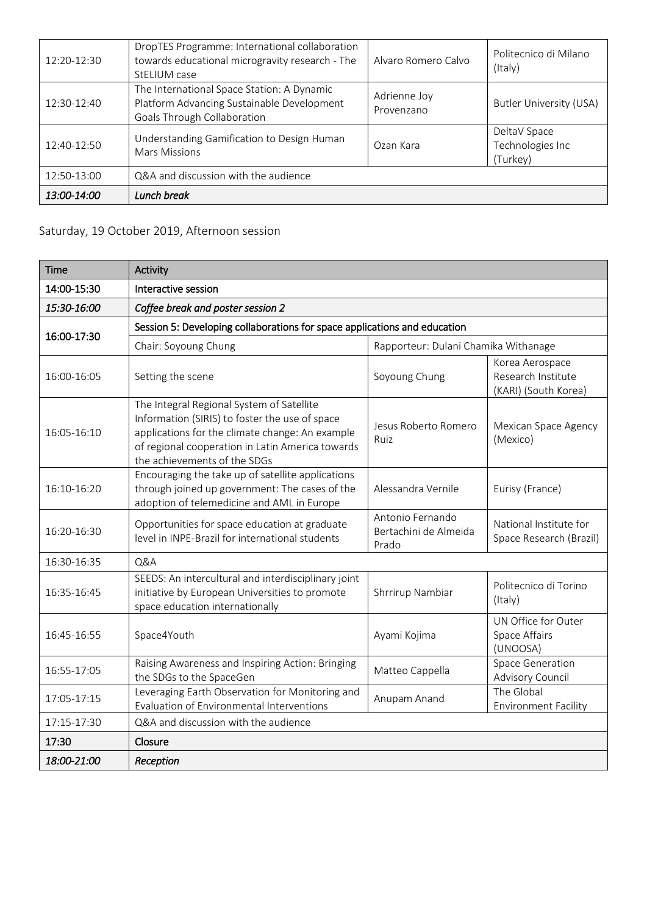| 12:20-12:30 | DropTES Programme: International collaboration<br>towards educational microgravity research - The<br>StELIUM case       | Alvaro Romero Calvo        | Politecnico di Milano<br>(Italy)             |
|-------------|-------------------------------------------------------------------------------------------------------------------------|----------------------------|----------------------------------------------|
| 12:30-12:40 | The International Space Station: A Dynamic<br>Platform Advancing Sustainable Development<br>Goals Through Collaboration | Adrienne Joy<br>Provenzano | <b>Butler University (USA)</b>               |
| 12:40-12:50 | Understanding Gamification to Design Human<br>Mars Missions                                                             | Ozan Kara                  | DeltaV Space<br>Technologies Inc<br>(Turkey) |
| 12:50-13:00 | Q&A and discussion with the audience                                                                                    |                            |                                              |
| 13:00-14:00 | Lunch break                                                                                                             |                            |                                              |

### Saturday, 19 October 2019, Afternoon session

| <b>Time</b> | Activity                                                                                                                                                                                                                           |                                                    |                                                               |
|-------------|------------------------------------------------------------------------------------------------------------------------------------------------------------------------------------------------------------------------------------|----------------------------------------------------|---------------------------------------------------------------|
| 14:00-15:30 | Interactive session                                                                                                                                                                                                                |                                                    |                                                               |
| 15:30-16:00 | Coffee break and poster session 2                                                                                                                                                                                                  |                                                    |                                                               |
|             | Session 5: Developing collaborations for space applications and education                                                                                                                                                          |                                                    |                                                               |
| 16:00-17:30 | Chair: Soyoung Chung                                                                                                                                                                                                               | Rapporteur: Dulani Chamika Withanage               |                                                               |
| 16:00-16:05 | Setting the scene                                                                                                                                                                                                                  | Soyoung Chung                                      | Korea Aerospace<br>Research Institute<br>(KARI) (South Korea) |
| 16:05-16:10 | The Integral Regional System of Satellite<br>Information (SIRIS) to foster the use of space<br>applications for the climate change: An example<br>of regional cooperation in Latin America towards<br>the achievements of the SDGs | Jesus Roberto Romero<br>Ruiz                       | Mexican Space Agency<br>(Mexico)                              |
| 16:10-16:20 | Encouraging the take up of satellite applications<br>through joined up government: The cases of the<br>adoption of telemedicine and AML in Europe                                                                                  | Alessandra Vernile                                 | Eurisy (France)                                               |
| 16:20-16:30 | Opportunities for space education at graduate<br>level in INPE-Brazil for international students                                                                                                                                   | Antonio Fernando<br>Bertachini de Almeida<br>Prado | National Institute for<br>Space Research (Brazil)             |
| 16:30-16:35 | Q&A                                                                                                                                                                                                                                |                                                    |                                                               |
| 16:35-16:45 | SEEDS: An intercultural and interdisciplinary joint<br>initiative by European Universities to promote<br>space education internationally                                                                                           | Shrrirup Nambiar                                   | Politecnico di Torino<br>(Italy)                              |
| 16:45-16:55 | Space4Youth                                                                                                                                                                                                                        | Ayami Kojima                                       | UN Office for Outer<br>Space Affairs<br>(UNOOSA)              |
| 16:55-17:05 | Raising Awareness and Inspiring Action: Bringing<br>the SDGs to the SpaceGen                                                                                                                                                       | Matteo Cappella                                    | Space Generation<br>Advisory Council                          |
| 17:05-17:15 | Leveraging Earth Observation for Monitoring and<br>Evaluation of Environmental Interventions                                                                                                                                       | Anupam Anand                                       | The Global<br><b>Environment Facility</b>                     |
| 17:15-17:30 | Q&A and discussion with the audience                                                                                                                                                                                               |                                                    |                                                               |
| 17:30       | Closure                                                                                                                                                                                                                            |                                                    |                                                               |
| 18:00-21:00 | Reception                                                                                                                                                                                                                          |                                                    |                                                               |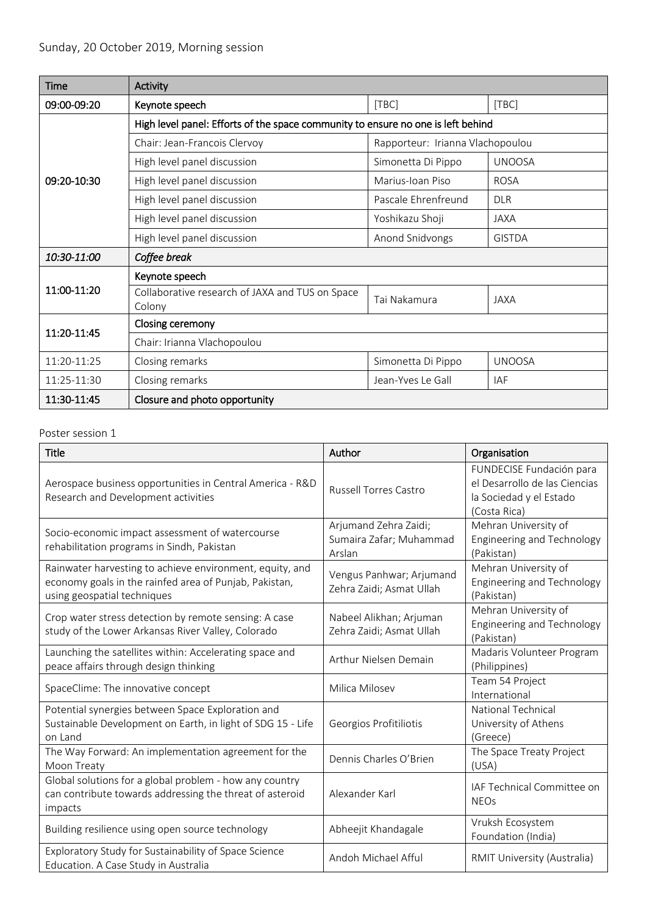| Time        | Activity                                                                         |                                  |               |  |
|-------------|----------------------------------------------------------------------------------|----------------------------------|---------------|--|
| 09:00-09:20 | Keynote speech                                                                   | [TBC]                            | [TBC]         |  |
|             | High level panel: Efforts of the space community to ensure no one is left behind |                                  |               |  |
|             | Chair: Jean-Francois Clervoy                                                     | Rapporteur: Irianna Vlachopoulou |               |  |
|             | High level panel discussion                                                      | Simonetta Di Pippo               | <b>UNOOSA</b> |  |
| 09:20-10:30 | High level panel discussion                                                      | Marius-Joan Piso                 | <b>ROSA</b>   |  |
|             | High level panel discussion                                                      | Pascale Ehrenfreund              | <b>DLR</b>    |  |
|             | High level panel discussion                                                      | Yoshikazu Shoji                  | <b>JAXA</b>   |  |
|             | High level panel discussion                                                      | Anond Snidvongs                  | <b>GISTDA</b> |  |
| 10:30-11:00 | Coffee break                                                                     |                                  |               |  |
|             | Keynote speech                                                                   |                                  |               |  |
| 11:00-11:20 | Collaborative research of JAXA and TUS on Space<br>Colony                        | Tai Nakamura                     | <b>JAXA</b>   |  |
| 11:20-11:45 | Closing ceremony                                                                 |                                  |               |  |
|             | Chair: Irianna Vlachopoulou                                                      |                                  |               |  |
| 11:20-11:25 | Closing remarks                                                                  | Simonetta Di Pippo               | <b>UNOOSA</b> |  |
| 11:25-11:30 | Closing remarks                                                                  | Jean-Yves Le Gall                | IAF           |  |
| 11:30-11:45 | Closure and photo opportunity                                                    |                                  |               |  |

#### Poster session 1

| Title                                                                                                                                             | Author                                                     | Organisation                                                                                         |
|---------------------------------------------------------------------------------------------------------------------------------------------------|------------------------------------------------------------|------------------------------------------------------------------------------------------------------|
| Aerospace business opportunities in Central America - R&D<br>Research and Development activities                                                  | <b>Russell Torres Castro</b>                               | FUNDECISE Fundación para<br>el Desarrollo de las Ciencias<br>la Sociedad y el Estado<br>(Costa Rica) |
| Socio-economic impact assessment of watercourse<br>rehabilitation programs in Sindh, Pakistan                                                     | Arjumand Zehra Zaidi;<br>Sumaira Zafar; Muhammad<br>Arslan | Mehran University of<br>Engineering and Technology<br>(Pakistan)                                     |
| Rainwater harvesting to achieve environment, equity, and<br>economy goals in the rainfed area of Punjab, Pakistan,<br>using geospatial techniques | Vengus Panhwar; Arjumand<br>Zehra Zaidi; Asmat Ullah       | Mehran University of<br>Engineering and Technology<br>(Pakistan)                                     |
| Crop water stress detection by remote sensing: A case<br>study of the Lower Arkansas River Valley, Colorado                                       | Nabeel Alikhan; Arjuman<br>Zehra Zaidi; Asmat Ullah        | Mehran University of<br><b>Engineering and Technology</b><br>(Pakistan)                              |
| Launching the satellites within: Accelerating space and<br>peace affairs through design thinking                                                  | Arthur Nielsen Demain                                      | Madaris Volunteer Program<br>(Philippines)                                                           |
| SpaceClime: The innovative concept                                                                                                                | Milica Milosev                                             | Team 54 Project<br>International                                                                     |
| Potential synergies between Space Exploration and<br>Sustainable Development on Earth, in light of SDG 15 - Life<br>on Land                       | Georgios Profitiliotis                                     | <b>National Technical</b><br>University of Athens<br>(Greece)                                        |
| The Way Forward: An implementation agreement for the<br>Moon Treaty                                                                               | Dennis Charles O'Brien                                     | The Space Treaty Project<br>(USA)                                                                    |
| Global solutions for a global problem - how any country<br>can contribute towards addressing the threat of asteroid<br>impacts                    | Alexander Karl                                             | IAF Technical Committee on<br><b>NEOs</b>                                                            |
| Building resilience using open source technology                                                                                                  | Abheejit Khandagale                                        | Vruksh Ecosystem<br>Foundation (India)                                                               |
| Exploratory Study for Sustainability of Space Science<br>Education. A Case Study in Australia                                                     | Andoh Michael Afful                                        | RMIT University (Australia)                                                                          |